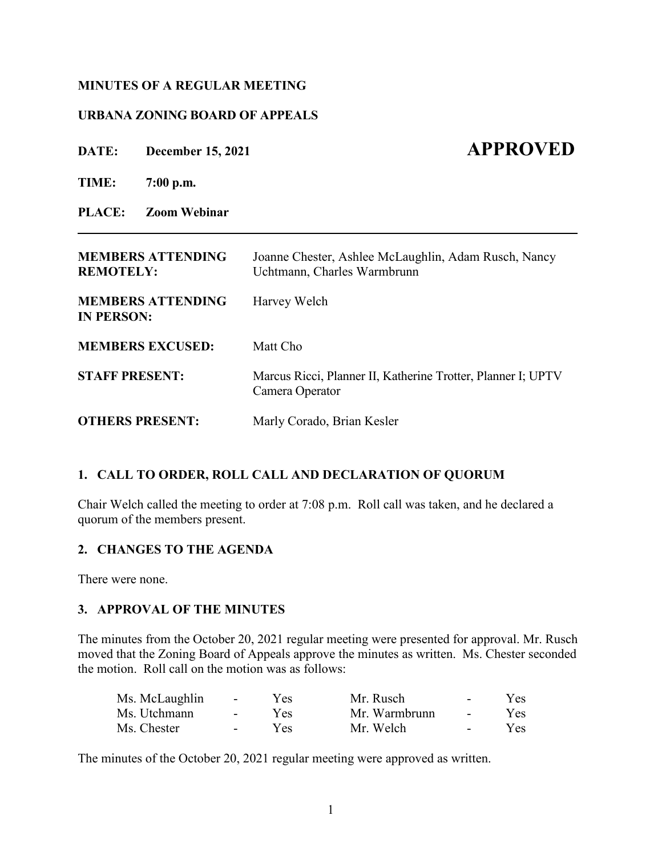## **MINUTES OF A REGULAR MEETING**

## **URBANA ZONING BOARD OF APPEALS**

**DATE: December 15, 2021 APPROVED** 

**TIME: 7:00 p.m.**

**PLACE: Zoom Webinar**

| <b>MEMBERS ATTENDING</b><br><b>REMOTELY:</b>  | Joanne Chester, Ashlee McLaughlin, Adam Rusch, Nancy<br>Uchtmann, Charles Warmbrunn |  |  |  |
|-----------------------------------------------|-------------------------------------------------------------------------------------|--|--|--|
| <b>MEMBERS ATTENDING</b><br><b>IN PERSON:</b> | Harvey Welch                                                                        |  |  |  |
| <b>MEMBERS EXCUSED:</b>                       | Matt Cho                                                                            |  |  |  |
| <b>STAFF PRESENT:</b>                         | Marcus Ricci, Planner II, Katherine Trotter, Planner I; UPTV<br>Camera Operator     |  |  |  |
| <b>OTHERS PRESENT:</b>                        | Marly Corado, Brian Kesler                                                          |  |  |  |

**\_\_\_\_\_\_\_\_\_\_\_\_\_\_\_\_\_\_\_\_\_\_\_\_\_\_\_\_\_\_\_\_\_\_\_\_\_\_\_\_\_\_\_\_\_\_\_\_\_\_\_\_\_\_\_\_\_\_\_\_\_\_\_\_\_\_\_\_\_\_\_\_\_\_\_\_\_\_\_**

## **1. CALL TO ORDER, ROLL CALL AND DECLARATION OF QUORUM**

Chair Welch called the meeting to order at 7:08 p.m. Roll call was taken, and he declared a quorum of the members present.

## **2. CHANGES TO THE AGENDA**

There were none.

## **3. APPROVAL OF THE MINUTES**

The minutes from the October 20, 2021 regular meeting were presented for approval. Mr. Rusch moved that the Zoning Board of Appeals approve the minutes as written. Ms. Chester seconded the motion. Roll call on the motion was as follows:

| Ms. McLaughlin | $\sim$ $\sim$ $\sim$ | Yes. | Mr. Rusch     | $\sim$           | Yes |
|----------------|----------------------|------|---------------|------------------|-----|
| Ms. Utchmann   | $\sim$ 10 $\sim$     | Yes. | Mr. Warmbrunn | $\sim$ 100 $\mu$ | Yes |
| Ms. Chester    | $\sim$ 100 $\mu$     | Yes. | Mr. Welch     | $\sim$           | Yes |

The minutes of the October 20, 2021 regular meeting were approved as written.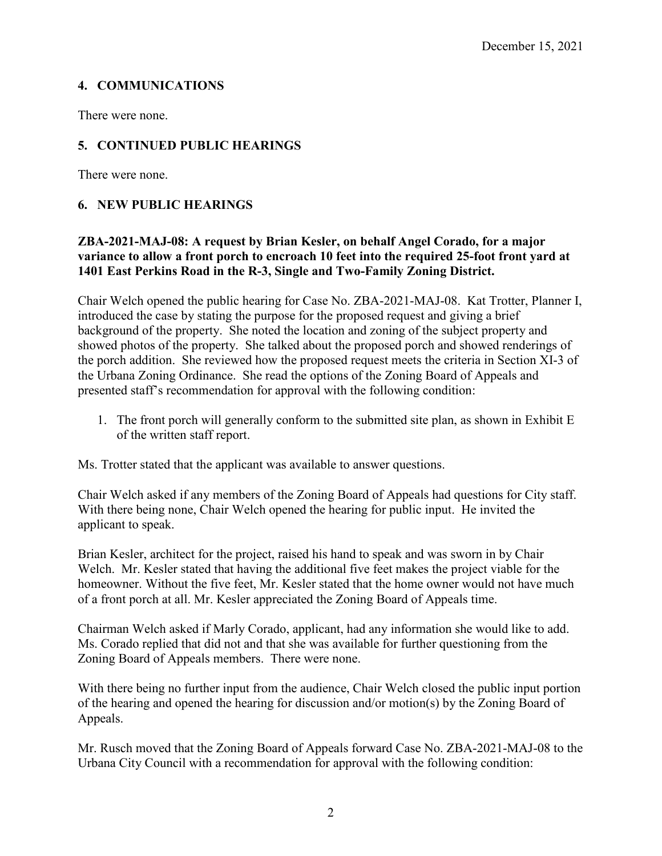# **4. COMMUNICATIONS**

There were none.

# **5. CONTINUED PUBLIC HEARINGS**

There were none.

# **6. NEW PUBLIC HEARINGS**

# **ZBA-2021-MAJ-08: A request by Brian Kesler, on behalf Angel Corado, for a major variance to allow a front porch to encroach 10 feet into the required 25-foot front yard at 1401 East Perkins Road in the R-3, Single and Two-Family Zoning District.**

Chair Welch opened the public hearing for Case No. ZBA-2021-MAJ-08. Kat Trotter, Planner I, introduced the case by stating the purpose for the proposed request and giving a brief background of the property. She noted the location and zoning of the subject property and showed photos of the property. She talked about the proposed porch and showed renderings of the porch addition. She reviewed how the proposed request meets the criteria in Section XI-3 of the Urbana Zoning Ordinance. She read the options of the Zoning Board of Appeals and presented staff's recommendation for approval with the following condition:

1. The front porch will generally conform to the submitted site plan, as shown in Exhibit E of the written staff report.

Ms. Trotter stated that the applicant was available to answer questions.

Chair Welch asked if any members of the Zoning Board of Appeals had questions for City staff. With there being none, Chair Welch opened the hearing for public input. He invited the applicant to speak.

Brian Kesler, architect for the project, raised his hand to speak and was sworn in by Chair Welch. Mr. Kesler stated that having the additional five feet makes the project viable for the homeowner. Without the five feet, Mr. Kesler stated that the home owner would not have much of a front porch at all. Mr. Kesler appreciated the Zoning Board of Appeals time.

Chairman Welch asked if Marly Corado, applicant, had any information she would like to add. Ms. Corado replied that did not and that she was available for further questioning from the Zoning Board of Appeals members. There were none.

With there being no further input from the audience, Chair Welch closed the public input portion of the hearing and opened the hearing for discussion and/or motion(s) by the Zoning Board of Appeals.

Mr. Rusch moved that the Zoning Board of Appeals forward Case No. ZBA-2021-MAJ-08 to the Urbana City Council with a recommendation for approval with the following condition: